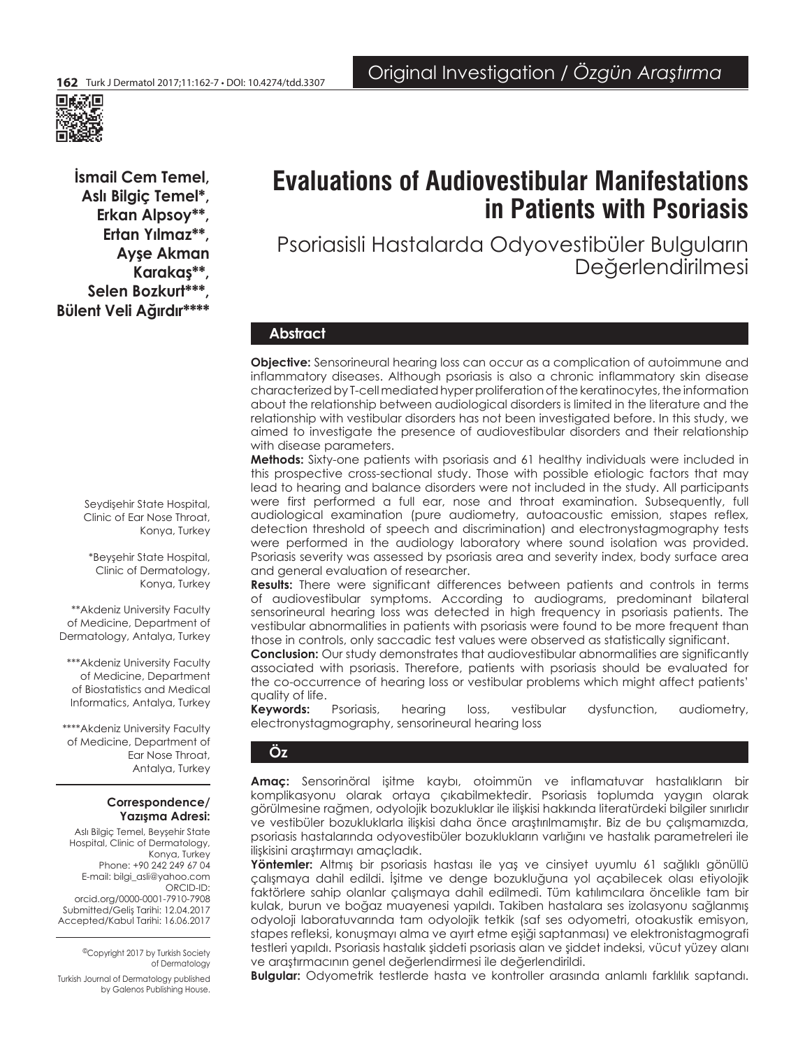

**İsmail Cem Temel, Aslı Bilgiç Temel\*, Erkan Alpsoy\*\*, Ertan Yılmaz\*\*, Ayşe Akman Karakaş\*\*,**  Selen Bozkurt\*\*\* **Bülent Veli Ağırdır\*\*\*\***

# **Evaluations of Audiovestibular Manifestations in Patients with Psoriasis**

Psoriasisli Hastalarda Odyovestibüler Bulguların Değerlendirilmesi

# **Abstract**

**Objective:** Sensorineural hearing loss can occur as a complication of autoimmune and inflammatory diseases. Although psoriasis is also a chronic inflammatory skin disease characterized by T-cell mediated hyper proliferation of the keratinocytes, the information about the relationship between audiological disorders is limited in the literature and the relationship with vestibular disorders has not been investigated before. In this study, we aimed to investigate the presence of audiovestibular disorders and their relationship with disease parameters.

**Methods:** Sixty-one patients with psoriasis and 61 healthy individuals were included in this prospective cross-sectional study. Those with possible etiologic factors that may lead to hearing and balance disorders were not included in the study. All participants were first performed a full ear, nose and throat examination. Subsequently, full audiological examination (pure audiometry, autoacoustic emission, stapes reflex, detection threshold of speech and discrimination) and electronystagmography tests were performed in the audiology laboratory where sound isolation was provided. Psoriasis severity was assessed by psoriasis area and severity index, body surface area and general evaluation of researcher.

**Results:** There were significant differences between patients and controls in terms of audiovestibular symptoms. According to audiograms, predominant bilateral sensorineural hearing loss was detected in high frequency in psoriasis patients. The vestibular abnormalities in patients with psoriasis were found to be more frequent than those in controls, only saccadic test values were observed as statistically significant.

**Conclusion:** Our study demonstrates that audiovestibular abnormalities are significantly associated with psoriasis. Therefore, patients with psoriasis should be evaluated for the co-occurrence of hearing loss or vestibular problems which might affect patients' quality of life.

**Keywords:** Psoriasis, hearing loss, vestibular dysfunction, audiometry, electronystagmography, sensorineural hearing loss

# **Öz**

**Amaç:** Sensorinöral işitme kaybı, otoimmün ve inflamatuvar hastalıkların bir komplikasyonu olarak ortaya çıkabilmektedir. Psoriasis toplumda yaygın olarak görülmesine rağmen, odyolojik bozukluklar ile ilişkisi hakkında literatürdeki bilgiler sınırlıdır ve vestibüler bozukluklarla ilişkisi daha önce araştırılmamıştır. Biz de bu çalışmamızda, psoriasis hastalarında odyovestibüler bozuklukların varlığını ve hastalık parametreleri ile ilişkisini araştırmayı amaçladık.

**Yöntemler:** Altmış bir psoriasis hastası ile yaş ve cinsiyet uyumlu 61 sağlıklı gönüllü çalışmaya dahil edildi. İşitme ve denge bozukluğuna yol açabilecek olası etiyolojik faktörlere sahip olanlar çalışmaya dahil edilmedi. Tüm katılımcılara öncelikle tam bir kulak, burun ve boğaz muayenesi yapıldı. Takiben hastalara ses izolasyonu sağlanmış odyoloji laboratuvarında tam odyolojik tetkik (saf ses odyometri, otoakustik emisyon, stapes refleksi, konuşmayı alma ve ayırt etme eşiği saptanması) ve elektronistagmografi testleri yapıldı. Psoriasis hastalık şiddeti psoriasis alan ve şiddet indeksi, vücut yüzey alanı ve araştırmacının genel değerlendirmesi ile değerlendirildi.

**Bulgular:** Odyometrik testlerde hasta ve kontroller arasında anlamlı farklılık saptandı.

Seydişehir State Hospital, Clinic of Ear Nose Throat, Konya, Turkey

\*Beyşehir State Hospital, Clinic of Dermatology, Konya, Turkey

\*\*Akdeniz University Faculty of Medicine, Department of Dermatology, Antalya, Turkey

\*\*\*Akdeniz University Faculty of Medicine, Department of Biostatistics and Medical Informatics, Antalya, Turkey

\*\*\*\*Akdeniz University Faculty of Medicine, Department of Ear Nose Throat, Antalya, Turkey

# **Correspondence/ Yazışma Adresi:**

Aslı Bilgiç Temel, Beyşehir State Hospital, Clinic of Dermatology, Konya, Turkey Phone: +90 242 249 67 04 E-mail: bilgi\_asli@yahoo.com ORCID-ID: orcid.org/0000-0001-7910-7908 Submitted/Geliş Tarihi: 12.04.2017 Accepted/Kabul Tarihi: 16.06.2017

> ©Copyright 2017 by Turkish Society of Dermatology

Turkish Journal of Dermatology published by Galenos Publishing House.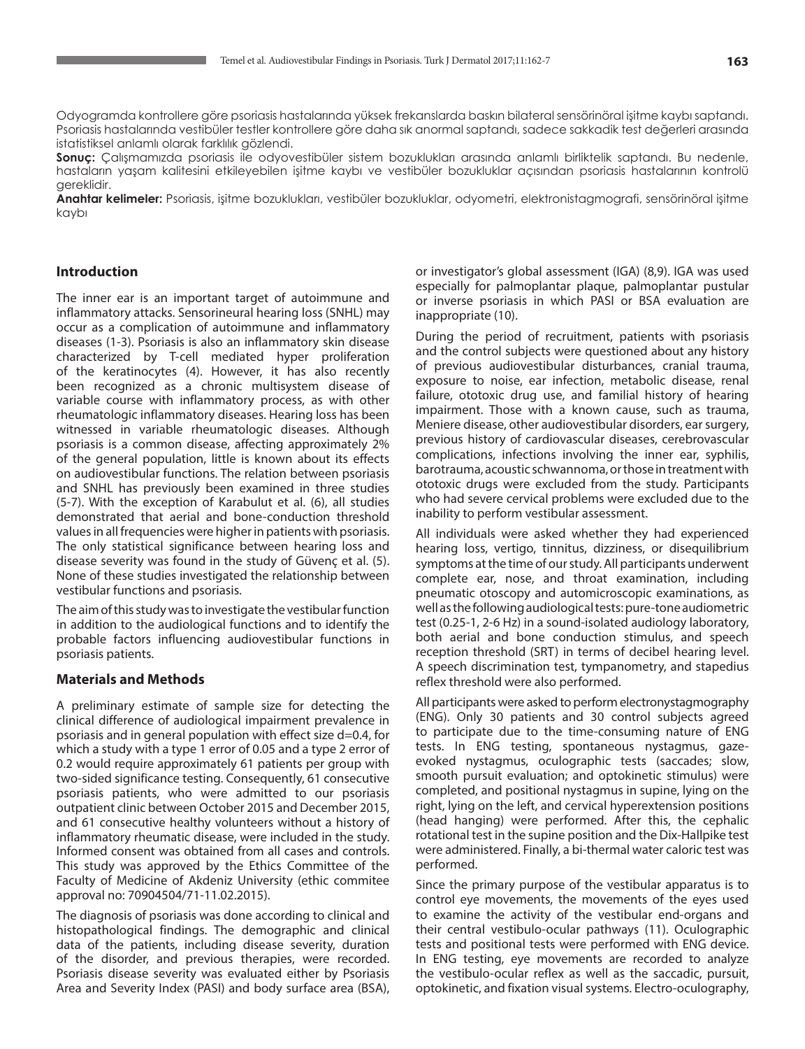Odyogramda kontrollere göre psoriasis hastalarında yüksek frekanslarda baskın bilateral sensörinöral işitme kaybı saptandı. Psoriasis hastalarında vestibüler testler kontrollere göre daha sık anormal saptandı, sadece sakkadik test değerleri arasında istatistiksel anlamlı olarak farklılık gözlendi.

**Sonuç:** Çalışmamızda psoriasis ile odyovestibüler sistem bozuklukları arasında anlamlı birliktelik saptandı. Bu nedenle, hastaların yaşam kalitesini etkileyebilen işitme kaybı ve vestibüler bozukluklar açısından psoriasis hastalarının kontrolü gereklidir.

**Anahtar kelimeler:** Psoriasis, işitme bozuklukları, vestibüler bozukluklar, odyometri, elektronistagmografi, sensörinöral işitme kaybı

# **Introduction**

The inner ear is an important target of autoimmune and inflammatory attacks. Sensorineural hearing loss (SNHL) may occur as a complication of autoimmune and inflammatory diseases (1-3). Psoriasis is also an inflammatory skin disease characterized by T-cell mediated hyper proliferation of the keratinocytes (4). However, it has also recently been recognized as a chronic multisystem disease of variable course with inflammatory process, as with other rheumatologic inflammatory diseases. Hearing loss has been witnessed in variable rheumatologic diseases. Although psoriasis is a common disease, affecting approximately 2% of the general population, little is known about its effects on audiovestibular functions. The relation between psoriasis and SNHL has previously been examined in three studies (5-7). With the exception of Karabulut et al. (6), all studies demonstrated that aerial and bone-conduction threshold values in all frequencies were higher in patients with psoriasis. The only statistical significance between hearing loss and disease severity was found in the study of Güvenç et al. (5). None of these studies investigated the relationship between vestibular functions and psoriasis.

**Contract Contract** 

The aim of this study was to investigate the vestibular function in addition to the audiological functions and to identify the probable factors influencing audiovestibular functions in psoriasis patients.

# **Materials and Methods**

A preliminary estimate of sample size for detecting the clinical difference of audiological impairment prevalence in psoriasis and in general population with effect size d=0.4, for which a study with a type 1 error of 0.05 and a type 2 error of 0.2 would require approximately 61 patients per group with two-sided significance testing. Consequently, 61 consecutive psoriasis patients, who were admitted to our psoriasis outpatient clinic between October 2015 and December 2015, and 61 consecutive healthy volunteers without a history of inflammatory rheumatic disease, were included in the study. Informed consent was obtained from all cases and controls. This study was approved by the Ethics Committee of the Faculty of Medicine of Akdeniz University (ethic commitee approval no: 70904504/71-11.02.2015).

The diagnosis of psoriasis was done according to clinical and histopathological findings. The demographic and clinical data of the patients, including disease severity, duration of the disorder, and previous therapies, were recorded. Psoriasis disease severity was evaluated either by Psoriasis Area and Severity Index (PASI) and body surface area (BSA), or investigator's global assessment (IGA) (8,9). IGA was used especially for palmoplantar plaque, palmoplantar pustular or inverse psoriasis in which PASI or BSA evaluation are inappropriate (10).

During the period of recruitment, patients with psoriasis and the control subjects were questioned about any history of previous audiovestibular disturbances, cranial trauma, exposure to noise, ear infection, metabolic disease, renal failure, ototoxic drug use, and familial history of hearing impairment. Those with a known cause, such as trauma, Meniere disease, other audiovestibular disorders, ear surgery, previous history of cardiovascular diseases, cerebrovascular complications, infections involving the inner ear, syphilis, barotrauma, acoustic schwannoma, or those in treatment with ototoxic drugs were excluded from the study. Participants who had severe cervical problems were excluded due to the inability to perform vestibular assessment.

All individuals were asked whether they had experienced hearing loss, vertigo, tinnitus, dizziness, or disequilibrium symptoms at the time of our study. All participants underwent complete ear, nose, and throat examination, including pneumatic otoscopy and automicroscopic examinations, as well as the following audiological tests: pure-tone audiometric test (0.25-1, 2-6 Hz) in a sound-isolated audiology laboratory, both aerial and bone conduction stimulus, and speech reception threshold (SRT) in terms of decibel hearing level. A speech discrimination test, tympanometry, and stapedius reflex threshold were also performed.

All participants were asked to perform electronystagmography (ENG). Only 30 patients and 30 control subjects agreed to participate due to the time-consuming nature of ENG tests. In ENG testing, spontaneous nystagmus, gazeevoked nystagmus, oculographic tests (saccades; slow, smooth pursuit evaluation; and optokinetic stimulus) were completed, and positional nystagmus in supine, lying on the right, lying on the left, and cervical hyperextension positions (head hanging) were performed. After this, the cephalic rotational test in the supine position and the Dix-Hallpike test were administered. Finally, a bi-thermal water caloric test was performed.

Since the primary purpose of the vestibular apparatus is to control eye movements, the movements of the eyes used to examine the activity of the vestibular end-organs and their central vestibulo-ocular pathways (11). Oculographic tests and positional tests were performed with ENG device. In ENG testing, eye movements are recorded to analyze the vestibulo-ocular reflex as well as the saccadic, pursuit, optokinetic, and fixation visual systems. Electro-oculography,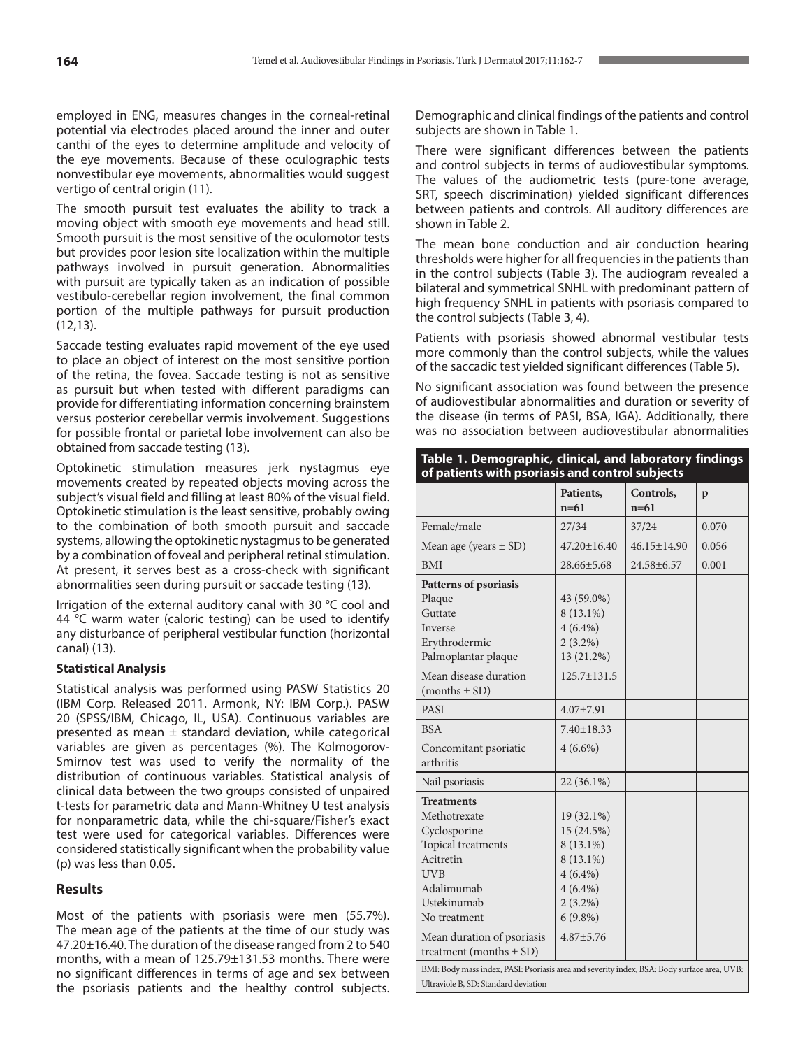employed in ENG, measures changes in the corneal-retinal potential via electrodes placed around the inner and outer canthi of the eyes to determine amplitude and velocity of the eye movements. Because of these oculographic tests nonvestibular eye movements, abnormalities would suggest vertigo of central origin (11).

The smooth pursuit test evaluates the ability to track a moving object with smooth eye movements and head still. Smooth pursuit is the most sensitive of the oculomotor tests but provides poor lesion site localization within the multiple pathways involved in pursuit generation. Abnormalities with pursuit are typically taken as an indication of possible vestibulo-cerebellar region involvement, the final common portion of the multiple pathways for pursuit production (12,13).

Saccade testing evaluates rapid movement of the eye used to place an object of interest on the most sensitive portion of the retina, the fovea. Saccade testing is not as sensitive as pursuit but when tested with different paradigms can provide for differentiating information concerning brainstem versus posterior cerebellar vermis involvement. Suggestions for possible frontal or parietal lobe involvement can also be obtained from saccade testing (13).

Optokinetic stimulation measures jerk nystagmus eye movements created by repeated objects moving across the subject's visual field and filling at least 80% of the visual field. Optokinetic stimulation is the least sensitive, probably owing to the combination of both smooth pursuit and saccade systems, allowing the optokinetic nystagmus to be generated by a combination of foveal and peripheral retinal stimulation. At present, it serves best as a cross-check with significant abnormalities seen during pursuit or saccade testing (13).

Irrigation of the external auditory canal with 30 °C cool and 44 °C warm water (caloric testing) can be used to identify any disturbance of peripheral vestibular function (horizontal canal) (13).

# **Statistical Analysis**

Statistical analysis was performed using PASW Statistics 20 (IBM Corp. Released 2011. Armonk, NY: IBM Corp.). PASW 20 (SPSS/IBM, Chicago, IL, USA). Continuous variables are presented as mean  $\pm$  standard deviation, while categorical variables are given as percentages (%). The Kolmogorov-Smirnov test was used to verify the normality of the distribution of continuous variables. Statistical analysis of clinical data between the two groups consisted of unpaired t-tests for parametric data and Mann-Whitney U test analysis for nonparametric data, while the chi-square/Fisher's exact test were used for categorical variables. Differences were considered statistically significant when the probability value (p) was less than 0.05.

# **Results**

Most of the patients with psoriasis were men (55.7%). The mean age of the patients at the time of our study was 47.20±16.40. The duration of the disease ranged from 2 to 540 months, with a mean of 125.79±131.53 months. There were no significant differences in terms of age and sex between the psoriasis patients and the healthy control subjects.

Demographic and clinical findings of the patients and control subjects are shown in Table 1.

There were significant differences between the patients and control subjects in terms of audiovestibular symptoms. The values of the audiometric tests (pure-tone average, SRT, speech discrimination) yielded significant differences between patients and controls. All auditory differences are shown in Table 2.

The mean bone conduction and air conduction hearing thresholds were higher for all frequencies in the patients than in the control subjects (Table 3). The audiogram revealed a bilateral and symmetrical SNHL with predominant pattern of high frequency SNHL in patients with psoriasis compared to the control subjects (Table 3, 4).

Patients with psoriasis showed abnormal vestibular tests more commonly than the control subjects, while the values of the saccadic test yielded significant differences (Table 5).

No significant association was found between the presence of audiovestibular abnormalities and duration or severity of the disease (in terms of PASI, BSA, IGA). Additionally, there was no association between audiovestibular abnormalities

| Table 1. Demographic, clinical, and laboratory findings |  |  |  |
|---------------------------------------------------------|--|--|--|
| of patients with psoriasis and control subjects         |  |  |  |
|                                                         |  |  |  |

|                                                                                             | Patients,<br>$n=61$ | Controls,<br>$n=61$ | $\mathbf{p}$ |
|---------------------------------------------------------------------------------------------|---------------------|---------------------|--------------|
| Female/male                                                                                 | 27/34               | 37/24               | 0.070        |
| Mean age (years $\pm$ SD)                                                                   | $47.20 \pm 16.40$   | $46.15 \pm 14.90$   | 0.056        |
| <b>BMI</b>                                                                                  | $28.66 \pm 5.68$    | $24.58 + 6.57$      | 0.001        |
| Patterns of psoriasis                                                                       |                     |                     |              |
| Plaque                                                                                      | 43 (59.0%)          |                     |              |
| Guttate                                                                                     | $8(13.1\%)$         |                     |              |
| Inverse                                                                                     | $4(6.4\%)$          |                     |              |
| Erythrodermic                                                                               | $2(3.2\%)$          |                     |              |
| Palmoplantar plaque                                                                         | 13 (21.2%)          |                     |              |
| Mean disease duration                                                                       | $125.7 \pm 131.5$   |                     |              |
| $(months \pm SD)$                                                                           |                     |                     |              |
| <b>PASI</b>                                                                                 | $4.07 + 7.91$       |                     |              |
| <b>BSA</b>                                                                                  | $7.40 \pm 18.33$    |                     |              |
| Concomitant psoriatic                                                                       | $4(6.6\%)$          |                     |              |
| arthritis                                                                                   |                     |                     |              |
| Nail psoriasis                                                                              | $22(36.1\%)$        |                     |              |
| <b>Treatments</b>                                                                           |                     |                     |              |
| Methotrexate                                                                                | 19 (32.1%)          |                     |              |
| Cyclosporine                                                                                | 15 (24.5%)          |                     |              |
| Topical treatments                                                                          | 8 (13.1%)           |                     |              |
| Acitretin                                                                                   | $8(13.1\%)$         |                     |              |
| <b>UVB</b>                                                                                  | $4(6.4\%)$          |                     |              |
| Adalimumab                                                                                  | $4(6.4\%)$          |                     |              |
| Ustekinumab                                                                                 | $2(3.2\%)$          |                     |              |
| No treatment                                                                                | $6(9.8\%)$          |                     |              |
| Mean duration of psoriasis                                                                  | $4.87 + 5.76$       |                     |              |
| treatment (months $\pm$ SD)                                                                 |                     |                     |              |
| BMI: Body mass index, PASI: Psoriasis area and severity index, BSA: Body surface area, UVB: |                     |                     |              |
| Ultraviole B, SD: Standard deviation                                                        |                     |                     |              |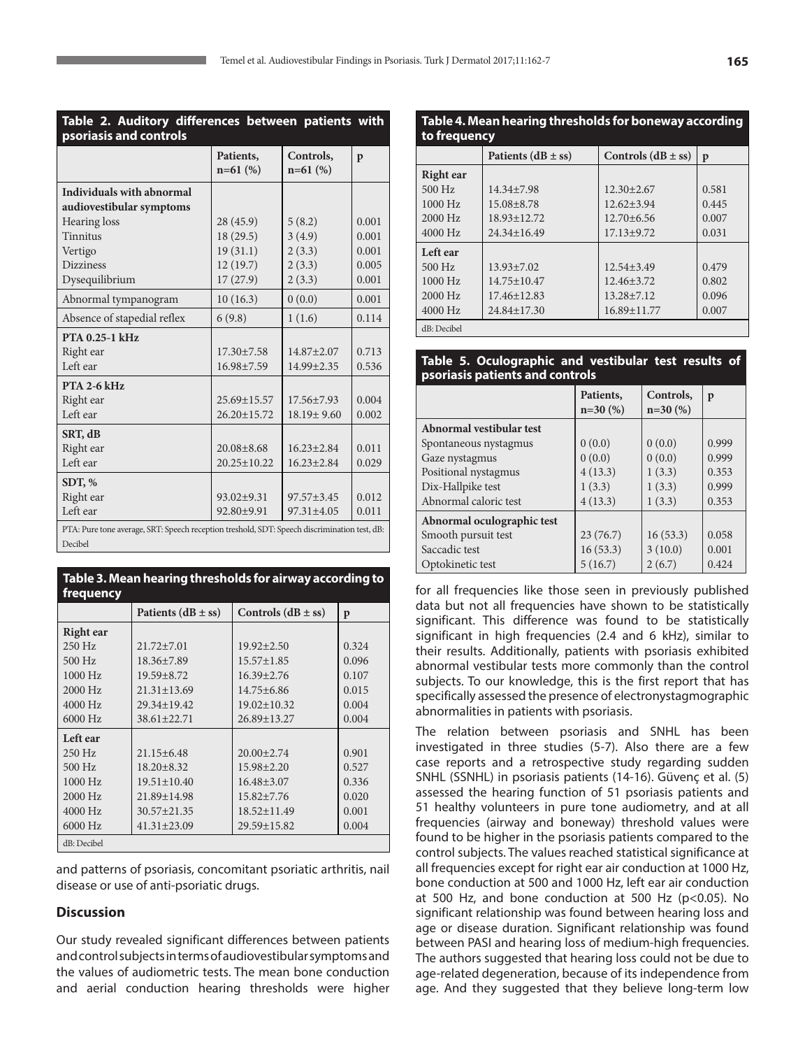| ×<br>I<br>$\sim$ | I<br>$\sim$ |
|------------------|-------------|
|                  |             |

| Table 2. Auditory differences between patients with<br>psoriasis and controls                |                         |                         |              |
|----------------------------------------------------------------------------------------------|-------------------------|-------------------------|--------------|
|                                                                                              | Patients,<br>$n=61$ (%) | Controls,<br>$n=61$ (%) | $\mathbf{p}$ |
| Individuals with abnormal                                                                    |                         |                         |              |
| audiovestibular symptoms                                                                     |                         |                         |              |
| Hearing loss                                                                                 | 28 (45.9)               | 5(8.2)                  | 0.001        |
| <b>Tinnitus</b>                                                                              | 18 (29.5)               | 3(4.9)                  | 0.001        |
| Vertigo                                                                                      | 19(31.1)                | 2(3.3)                  | 0.001        |
| <b>Dizziness</b>                                                                             | 12(19.7)                | 2(3.3)                  | 0.005        |
| Dysequilibrium                                                                               | 17(27.9)                | 2(3.3)                  | 0.001        |
| Abnormal tympanogram                                                                         | 10(16.3)                | 0(0.0)                  | 0.001        |
| Absence of stapedial reflex                                                                  | 6(9.8)                  | 1(1.6)                  | 0.114        |
| PTA 0.25-1 kHz                                                                               |                         |                         |              |
| Right ear                                                                                    | $17.30 \pm 7.58$        | 14.87±2.07              | 0.713        |
| Left ear                                                                                     | 16.98±7.59              | $14.99 \pm 2.35$        | 0.536        |
| <b>PTA 2-6 kHz</b>                                                                           |                         |                         |              |
| Right ear                                                                                    | 25.69±15.57             | 17.56±7.93              | 0.004        |
| Left ear                                                                                     | 26.20±15.72             | $18.19 \pm 9.60$        | 0.002        |
| SRT, dB                                                                                      |                         |                         |              |
| Right ear                                                                                    | $20.08 + 8.68$          | $16.23 \pm 2.84$        | 0.011        |
| Left ear                                                                                     | $20.25 \pm 10.22$       | $16.23 \pm 2.84$        | 0.029        |
| SDT, %                                                                                       |                         |                         |              |
| Right ear                                                                                    | 93.02±9.31              | $97.57 + 3.45$          | 0.012        |
| Left ear                                                                                     | 92.80±9.91              | 97.31±4.05              | 0.011        |
| PTA: Pure tone average, SRT: Speech reception treshold, SDT: Speech discrimination test, dB: |                         |                         |              |
| Decibel                                                                                      |                         |                         |              |

**Table 3. Mean hearing thresholds for airway according to frequency**

|                  | Patients $(dB \pm ss)$ | Controls $(dB \pm ss)$ | p     |
|------------------|------------------------|------------------------|-------|
| <b>Right</b> ear |                        |                        |       |
| $250$ Hz         | $21.72 \pm 7.01$       | $19.92 \pm 2.50$       | 0.324 |
| 500 Hz           | $18.36 \pm 7.89$       | $15.57 \pm 1.85$       | 0.096 |
| 1000 Hz          | $19.59 \pm 8.72$       | $16.39 \pm 2.76$       | 0.107 |
| $2000$ Hz        | $21.31 \pm 13.69$      | $14.75 \pm 6.86$       | 0.015 |
| $4000$ Hz        | $29.34 \pm 19.42$      | $19.02 \pm 10.32$      | 0.004 |
| $6000$ Hz        | $38.61 \pm 22.71$      | $26.89 \pm 13.27$      | 0.004 |
| Left ear         |                        |                        |       |
| $250$ Hz         | $21.15 \pm 6.48$       | $20.00 \pm 2.74$       | 0.901 |
| 500 Hz           | $18.20 \pm 8.32$       | $15.98 \pm 2.20$       | 0.527 |
| 1000 Hz          | $19.51 \pm 10.40$      | $16.48 \pm 3.07$       | 0.336 |
| 2000 Hz          | 21.89±14.98            | $15.82 \pm 7.76$       | 0.020 |
| 4000 Hz          | $30.57 \pm 21.35$      | $18.52 \pm 11.49$      | 0.001 |
| 6000 Hz          | $41.31 \pm 23.09$      | $29.59 \pm 15.82$      | 0.004 |
| dB: Decibel      |                        |                        |       |

and patterns of psoriasis, concomitant psoriatic arthritis, nail disease or use of anti-psoriatic drugs.

# **Discussion**

Our study revealed significant differences between patients and control subjects in terms of audiovestibular symptoms and the values of audiometric tests. The mean bone conduction and aerial conduction hearing thresholds were higher

| Table 4. Mean hearing thresholds for boneway according<br>to frequency |                        |                        |              |
|------------------------------------------------------------------------|------------------------|------------------------|--------------|
|                                                                        | Patients $(dB \pm ss)$ | Controls $(dB \pm ss)$ | $\mathbf{p}$ |
| Right ear                                                              |                        |                        |              |
| 500 Hz                                                                 | $14.34 \pm 7.98$       | $12.30 \pm 2.67$       | 0.581        |
| 1000 Hz                                                                | $15.08 \pm 8.78$       | $12.62 \pm 3.94$       | 0.445        |
| 2000 Hz                                                                | $18.93 \pm 12.72$      | $12.70 \pm 6.56$       | 0.007        |
| $4000$ Hz                                                              | $24.34 \pm 16.49$      | $17.13 \pm 9.72$       | 0.031        |
| Left ear                                                               |                        |                        |              |
| 500 Hz                                                                 | $13.93 \pm 7.02$       | $12.54 \pm 3.49$       | 0.479        |
| 1000 Hz                                                                | $14.75 \pm 10.47$      | $12.46 \pm 3.72$       | 0.802        |
| 2000 Hz                                                                | $17.46 \pm 12.83$      | $13.28 \pm 7.12$       | 0.096        |
| $4000$ Hz                                                              | $24.84 \pm 17.30$      | 16.89±11.77            | 0.007        |
| dB: Decibel                                                            |                        |                        |              |

#### **Table 5. Oculographic and vestibular test results of psoriasis patients and controls**

|                            | Patients,<br>$n=30(%)$ | Controls,<br>$n=30(%)$ | p     |
|----------------------------|------------------------|------------------------|-------|
| Abnormal vestibular test   |                        |                        |       |
| Spontaneous nystagmus      | 0(0.0)                 | 0(0.0)                 | 0.999 |
| Gaze nystagmus             | 0(0.0)                 | 0(0.0)                 | 0.999 |
| Positional nystagmus       | 4(13.3)                | 1(3.3)                 | 0.353 |
| Dix-Hallpike test          | 1(3.3)                 | 1(3.3)                 | 0.999 |
| Abnormal caloric test      | 4(13.3)                | 1(3.3)                 | 0.353 |
| Abnormal oculographic test |                        |                        |       |
| Smooth pursuit test        | 23(76.7)               | 16(53.3)               | 0.058 |
| Saccadic test              | 16(53.3)               | 3(10.0)                | 0.001 |
| Optokinetic test           | 5(16.7)                | 2(6.7)                 | 0.424 |

for all frequencies like those seen in previously published data but not all frequencies have shown to be statistically significant. This difference was found to be statistically significant in high frequencies (2.4 and 6 kHz), similar to their results. Additionally, patients with psoriasis exhibited abnormal vestibular tests more commonly than the control subjects. To our knowledge, this is the first report that has specifically assessed the presence of electronystagmographic abnormalities in patients with psoriasis.

The relation between psoriasis and SNHL has been investigated in three studies (5-7). Also there are a few case reports and a retrospective study regarding sudden SNHL (SSNHL) in psoriasis patients (14-16). Güvenç et al. (5) assessed the hearing function of 51 psoriasis patients and 51 healthy volunteers in pure tone audiometry, and at all frequencies (airway and boneway) threshold values were found to be higher in the psoriasis patients compared to the control subjects. The values reached statistical significance at all frequencies except for right ear air conduction at 1000 Hz, bone conduction at 500 and 1000 Hz, left ear air conduction at 500 Hz, and bone conduction at 500 Hz ( $p$  < 0.05). No significant relationship was found between hearing loss and age or disease duration. Significant relationship was found between PASI and hearing loss of medium-high frequencies. The authors suggested that hearing loss could not be due to age-related degeneration, because of its independence from age. And they suggested that they believe long-term low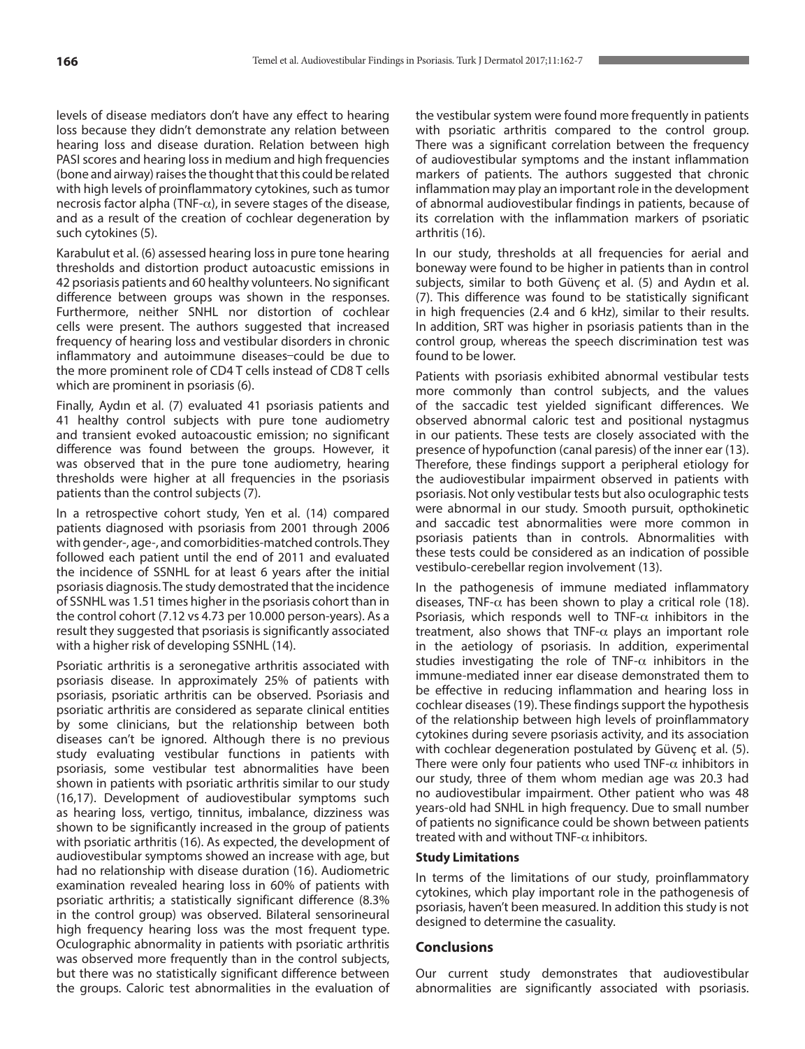levels of disease mediators don't have any effect to hearing loss because they didn't demonstrate any relation between hearing loss and disease duration. Relation between high PASI scores and hearing loss in medium and high frequencies (bone and airway) raises the thought that this could be related with high levels of proinflammatory cytokines, such as tumor necrosis factor alpha (TNF- $\alpha$ ), in severe stages of the disease, and as a result of the creation of cochlear degeneration by such cytokines (5).

Karabulut et al. (6) assessed hearing loss in pure tone hearing thresholds and distortion product autoacustic emissions in 42 psoriasis patients and 60 healthy volunteers. No significant difference between groups was shown in the responses. Furthermore, neither SNHL nor distortion of cochlear cells were present. The authors suggested that increased frequency of hearing loss and vestibular disorders in chronic inflammatory and autoimmune diseases-could be due to the more prominent role of CD4 T cells instead of CD8 T cells which are prominent in psoriasis (6).

Finally, Aydın et al. (7) evaluated 41 psoriasis patients and 41 healthy control subjects with pure tone audiometry and transient evoked autoacoustic emission; no significant difference was found between the groups. However, it was observed that in the pure tone audiometry, hearing thresholds were higher at all frequencies in the psoriasis patients than the control subjects (7).

In a retrospective cohort study, Yen et al. (14) compared patients diagnosed with psoriasis from 2001 through 2006 with gender-, age-, and comorbidities-matched controls. They followed each patient until the end of 2011 and evaluated the incidence of SSNHL for at least 6 years after the initial psoriasis diagnosis. The study demostrated that the incidence of SSNHL was 1.51 times higher in the psoriasis cohort than in the control cohort (7.12 vs 4.73 per 10.000 person-years). As a result they suggested that psoriasis is significantly associated with a higher risk of developing SSNHL (14).

Psoriatic arthritis is a seronegative arthritis associated with psoriasis disease. In approximately 25% of patients with psoriasis, psoriatic arthritis can be observed. Psoriasis and psoriatic arthritis are considered as separate clinical entities by some clinicians, but the relationship between both diseases can't be ignored. Although there is no previous study evaluating vestibular functions in patients with psoriasis, some vestibular test abnormalities have been shown in patients with psoriatic arthritis similar to our study (16,17). Development of audiovestibular symptoms such as hearing loss, vertigo, tinnitus, imbalance, dizziness was shown to be significantly increased in the group of patients with psoriatic arthritis (16). As expected, the development of audiovestibular symptoms showed an increase with age, but had no relationship with disease duration (16). Audiometric examination revealed hearing loss in 60% of patients with psoriatic arthritis; a statistically significant difference (8.3% in the control group) was observed. Bilateral sensorineural high frequency hearing loss was the most frequent type. Oculographic abnormality in patients with psoriatic arthritis was observed more frequently than in the control subjects, but there was no statistically significant difference between the groups. Caloric test abnormalities in the evaluation of

the vestibular system were found more frequently in patients with psoriatic arthritis compared to the control group. There was a significant correlation between the frequency of audiovestibular symptoms and the instant inflammation markers of patients. The authors suggested that chronic inflammation may play an important role in the development of abnormal audiovestibular findings in patients, because of its correlation with the inflammation markers of psoriatic arthritis (16).

In our study, thresholds at all frequencies for aerial and boneway were found to be higher in patients than in control subjects, similar to both Güvenç et al. (5) and Aydın et al. (7). This difference was found to be statistically significant in high frequencies (2.4 and 6 kHz), similar to their results. In addition, SRT was higher in psoriasis patients than in the control group, whereas the speech discrimination test was found to be lower.

Patients with psoriasis exhibited abnormal vestibular tests more commonly than control subjects, and the values of the saccadic test yielded significant differences. We observed abnormal caloric test and positional nystagmus in our patients. These tests are closely associated with the presence of hypofunction (canal paresis) of the inner ear (13). Therefore, these findings support a peripheral etiology for the audiovestibular impairment observed in patients with psoriasis. Not only vestibular tests but also oculographic tests were abnormal in our study. Smooth pursuit, opthokinetic and saccadic test abnormalities were more common in psoriasis patients than in controls. Abnormalities with these tests could be considered as an indication of possible vestibulo-cerebellar region involvement (13).

In the pathogenesis of immune mediated inflammatory diseases, TNF- $\alpha$  has been shown to play a critical role (18). Psoriasis, which responds well to TNF- $\alpha$  inhibitors in the treatment, also shows that TNF- $\alpha$  plays an important role in the aetiology of psoriasis. In addition, experimental studies investigating the role of TNF- $\alpha$  inhibitors in the immune-mediated inner ear disease demonstrated them to be effective in reducing inflammation and hearing loss in cochlear diseases(19). These findings support the hypothesis of the relationship between high levels of proinflammatory cytokines during severe psoriasis activity, and its association with cochlear degeneration postulated by Güvenç et al. (5). There were only four patients who used TNF- $\alpha$  inhibitors in our study, three of them whom median age was 20.3 had no audiovestibular impairment. Other patient who was 48 years-old had SNHL in high frequency. Due to small number of patients no significance could be shown between patients treated with and without TNF- $\alpha$  inhibitors.

#### **Study Limitations**

In terms of the limitations of our study, proinflammatory cytokines, which play important role in the pathogenesis of psoriasis, haven't been measured. In addition this study is not designed to determine the casuality.

# **Conclusions**

Our current study demonstrates that audiovestibular abnormalities are significantly associated with psoriasis.